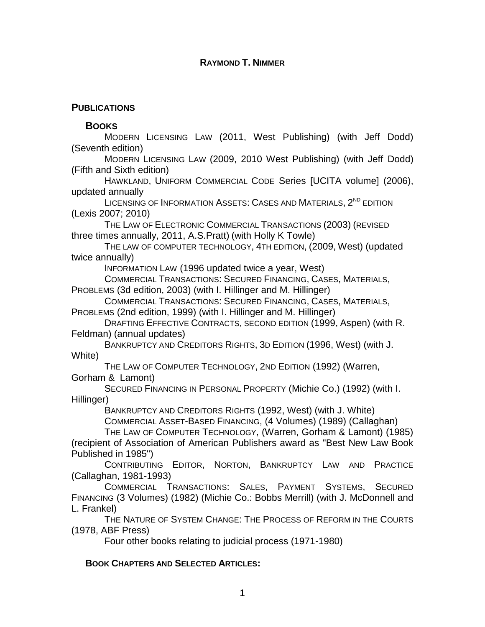## **RAYMOND T. NIMMER**

## **PUBLICATIONS**

## **BOOKS**

MODERN LICENSING LAW (2011, West Publishing) (with Jeff Dodd) (Seventh edition)

MODERN LICENSING LAW (2009, 2010 West Publishing) (with Jeff Dodd) (Fifth and Sixth edition)

HAWKLAND, UNIFORM COMMERCIAL CODE Series [UCITA volume] (2006), updated annually

LICENSING OF INFORMATION ASSETS: CASES AND MATERIALS, 2<sup>ND</sup> EDITION (Lexis 2007; 2010)

THE LAW OF ELECTRONIC COMMERCIAL TRANSACTIONS (2003) (REVISED three times annually, 2011, A.S.Pratt) (with Holly K Towle)

THE LAW OF COMPUTER TECHNOLOGY, 4TH EDITION, (2009, West) (updated twice annually)

INFORMATION LAW (1996 updated twice a year, West)

COMMERCIAL TRANSACTIONS: SECURED FINANCING, CASES, MATERIALS, PROBLEMS (3d edition, 2003) (with I. Hillinger and M. Hillinger)

COMMERCIAL TRANSACTIONS: SECURED FINANCING, CASES, MATERIALS, PROBLEMS (2nd edition, 1999) (with I. Hillinger and M. Hillinger)

DRAFTING EFFECTIVE CONTRACTS, SECOND EDITION (1999, Aspen) (with R. Feldman) (annual updates)

BANKRUPTCY AND CREDITORS RIGHTS, 3D EDITION (1996, West) (with J. White)

THE LAW OF COMPUTER TECHNOLOGY, 2ND EDITION (1992) (Warren, Gorham & Lamont)

SECURED FINANCING IN PERSONAL PROPERTY (Michie Co.) (1992) (with I. Hillinger)

BANKRUPTCY AND CREDITORS RIGHTS (1992, West) (with J. White)

COMMERCIAL ASSET-BASED FINANCING, (4 Volumes) (1989) (Callaghan)

THE LAW OF COMPUTER TECHNOLOGY, (Warren, Gorham & Lamont) (1985) (recipient of Association of American Publishers award as "Best New Law Book

Published in 1985")

CONTRIBUTING EDITOR, NORTON, BANKRUPTCY LAW AND PRACTICE (Callaghan, 1981-1993)

COMMERCIAL TRANSACTIONS: SALES, PAYMENT SYSTEMS, SECURED FINANCING (3 Volumes) (1982) (Michie Co.: Bobbs Merrill) (with J. McDonnell and L. Frankel)

THE NATURE OF SYSTEM CHANGE: THE PROCESS OF REFORM IN THE COURTS (1978, ABF Press)

Four other books relating to judicial process (1971-1980)

## **BOOK CHAPTERS AND SELECTED ARTICLES:**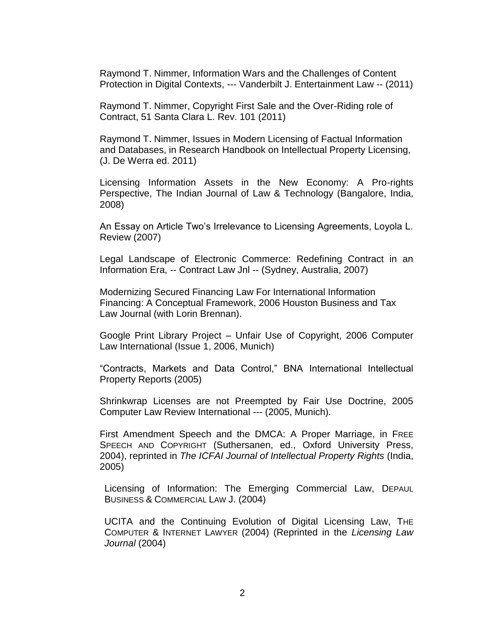Raymond T. Nimmer, Information Wars and the Challenges of Content Protection in Digital Contexts, --- Vanderbilt J. Entertainment Law -- (2011)

Raymond T. Nimmer, Copyright First Sale and the Over-Riding role of Contract, 51 Santa Clara L. Rev. 101 (2011)

Raymond T. Nimmer, Issues in Modern Licensing of Factual Information and Databases, in Research Handbook on Intellectual Property Licensing, (J. De Werra ed. 2011)

Licensing Information Assets in the New Economy: A Pro-rights Perspective, The Indian Journal of Law & Technology (Bangalore, India, 2008)

An Essay on Article Two's Irrelevance to Licensing Agreements, Loyola L. Review (2007)

Legal Landscape of Electronic Commerce: Redefining Contract in an Information Era, -- Contract Law Jnl -- (Sydney, Australia, 2007)

Modernizing Secured Financing Law For International Information Financing: A Conceptual Framework, 2006 Houston Business and Tax Law Journal (with Lorin Brennan).

Google Print Library Project – Unfair Use of Copyright, 2006 Computer Law International (Issue 1, 2006, Munich)

"Contracts, Markets and Data Control," BNA International Intellectual Property Reports (2005)

Shrinkwrap Licenses are not Preempted by Fair Use Doctrine, 2005 Computer Law Review International --- (2005, Munich).

First Amendment Speech and the DMCA: A Proper Marriage, in FREE SPEECH AND COPYRIGHT (Suthersanen, ed., Oxford University Press, 2004), reprinted in *The ICFAI Journal of Intellectual Property Rights* (India, 2005)

Licensing of Information: The Emerging Commercial Law, DEPAUL BUSINESS & COMMERCIAL LAW J. (2004)

UCITA and the Continuing Evolution of Digital Licensing Law, THE COMPUTER & INTERNET LAWYER (2004) (Reprinted in the *Licensing Law Journal* (2004)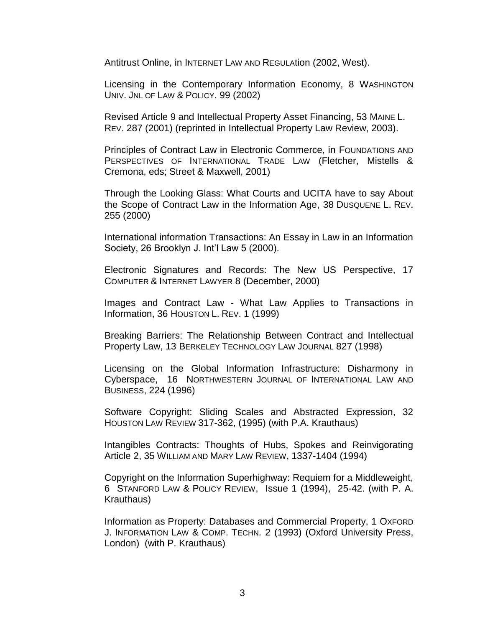Antitrust Online, in INTERNET LAW AND REGULAtion (2002, West).

Licensing in the Contemporary Information Economy, 8 WASHINGTON UNIV. JNL OF LAW & POLICY. 99 (2002)

Revised Article 9 and Intellectual Property Asset Financing, 53 MAINE L. REV. 287 (2001) (reprinted in Intellectual Property Law Review, 2003).

Principles of Contract Law in Electronic Commerce, in FOUNDATIONS AND PERSPECTIVES OF INTERNATIONAL TRADE LAW (Fletcher, Mistells & Cremona, eds; Street & Maxwell, 2001)

Through the Looking Glass: What Courts and UCITA have to say About the Scope of Contract Law in the Information Age, 38 DUSQUENE L. REV. 255 (2000)

International information Transactions: An Essay in Law in an Information Society, 26 Brooklyn J. Int'l Law 5 (2000).

Electronic Signatures and Records: The New US Perspective, 17 COMPUTER & INTERNET LAWYER 8 (December, 2000)

Images and Contract Law - What Law Applies to Transactions in Information, 36 HOUSTON L. REV. 1 (1999)

Breaking Barriers: The Relationship Between Contract and Intellectual Property Law, 13 BERKELEY TECHNOLOGY LAW JOURNAL 827 (1998)

Licensing on the Global Information Infrastructure: Disharmony in Cyberspace, 16 NORTHWESTERN JOURNAL OF INTERNATIONAL LAW AND BUSINESS, 224 (1996)

Software Copyright: Sliding Scales and Abstracted Expression, 32 HOUSTON LAW REVIEW 317-362, (1995) (with P.A. Krauthaus)

Intangibles Contracts: Thoughts of Hubs, Spokes and Reinvigorating Article 2, 35 WILLIAM AND MARY LAW REVIEW, 1337-1404 (1994)

Copyright on the Information Superhighway: Requiem for a Middleweight, 6 STANFORD LAW & POLICY REVIEW, Issue 1 (1994), 25-42. (with P. A. Krauthaus)

Information as Property: Databases and Commercial Property, 1 OXFORD J. INFORMATION LAW & COMP. TECHN. 2 (1993) (Oxford University Press, London) (with P. Krauthaus)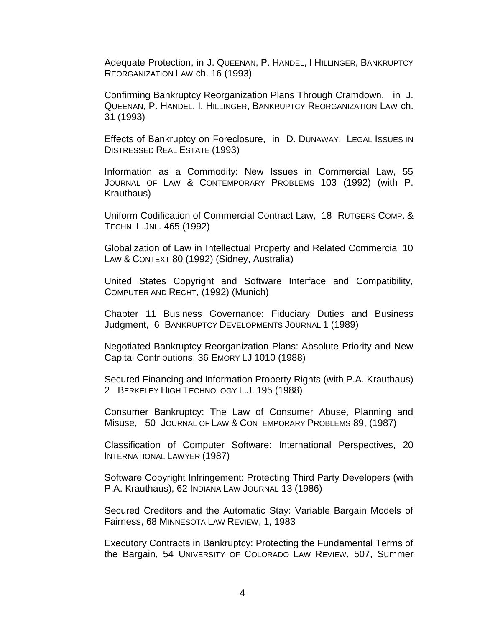Adequate Protection, in J. QUEENAN, P. HANDEL, I HILLINGER, BANKRUPTCY REORGANIZATION LAW ch. 16 (1993)

Confirming Bankruptcy Reorganization Plans Through Cramdown, in J. QUEENAN, P. HANDEL, I. HILLINGER, BANKRUPTCY REORGANIZATION LAW ch. 31 (1993)

Effects of Bankruptcy on Foreclosure, in D. DUNAWAY. LEGAL ISSUES IN DISTRESSED REAL ESTATE (1993)

Information as a Commodity: New Issues in Commercial Law, 55 JOURNAL OF LAW & CONTEMPORARY PROBLEMS 103 (1992) (with P. Krauthaus)

Uniform Codification of Commercial Contract Law, 18 RUTGERS COMP. & TECHN. L.JNL. 465 (1992)

Globalization of Law in Intellectual Property and Related Commercial 10 LAW & CONTEXT 80 (1992) (Sidney, Australia)

United States Copyright and Software Interface and Compatibility, COMPUTER AND RECHT, (1992) (Munich)

Chapter 11 Business Governance: Fiduciary Duties and Business Judgment, 6 BANKRUPTCY DEVELOPMENTS JOURNAL 1 (1989)

Negotiated Bankruptcy Reorganization Plans: Absolute Priority and New Capital Contributions, 36 EMORY LJ 1010 (1988)

Secured Financing and Information Property Rights (with P.A. Krauthaus) 2 BERKELEY HIGH TECHNOLOGY L.J. 195 (1988)

Consumer Bankruptcy: The Law of Consumer Abuse, Planning and Misuse, 50 JOURNAL OF LAW & CONTEMPORARY PROBLEMS 89, (1987)

Classification of Computer Software: International Perspectives, 20 INTERNATIONAL LAWYER (1987)

Software Copyright Infringement: Protecting Third Party Developers (with P.A. Krauthaus), 62 INDIANA LAW JOURNAL 13 (1986)

Secured Creditors and the Automatic Stay: Variable Bargain Models of Fairness, 68 MINNESOTA LAW REVIEW, 1, 1983

Executory Contracts in Bankruptcy: Protecting the Fundamental Terms of the Bargain, 54 UNIVERSITY OF COLORADO LAW REVIEW, 507, Summer